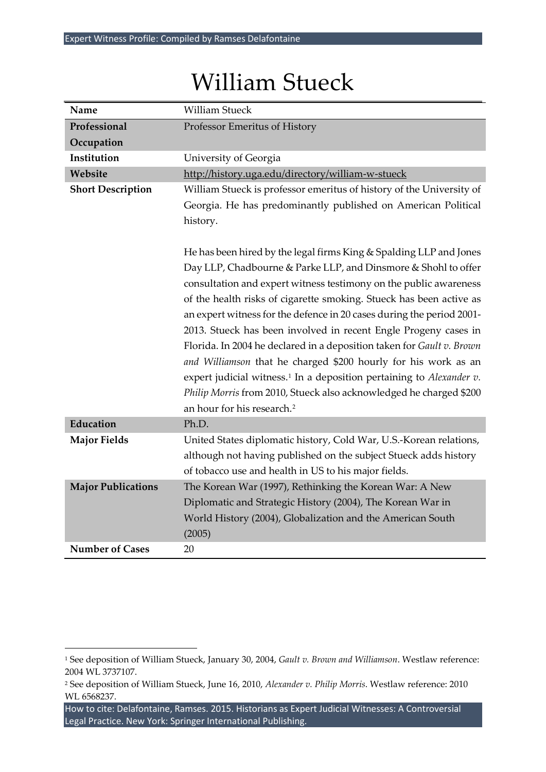| Name                      | <b>William Stueck</b>                                                                                                                             |  |  |
|---------------------------|---------------------------------------------------------------------------------------------------------------------------------------------------|--|--|
| Professional              | Professor Emeritus of History                                                                                                                     |  |  |
| Occupation                |                                                                                                                                                   |  |  |
| Institution               | University of Georgia                                                                                                                             |  |  |
| Website                   | http://history.uga.edu/directory/william-w-stueck                                                                                                 |  |  |
| <b>Short Description</b>  | William Stueck is professor emeritus of history of the University of<br>Georgia. He has predominantly published on American Political<br>history. |  |  |
|                           |                                                                                                                                                   |  |  |
|                           |                                                                                                                                                   |  |  |
|                           |                                                                                                                                                   |  |  |
|                           | He has been hired by the legal firms King & Spalding LLP and Jones                                                                                |  |  |
|                           | Day LLP, Chadbourne & Parke LLP, and Dinsmore & Shohl to offer                                                                                    |  |  |
|                           | consultation and expert witness testimony on the public awareness                                                                                 |  |  |
|                           | of the health risks of cigarette smoking. Stueck has been active as                                                                               |  |  |
|                           | an expert witness for the defence in 20 cases during the period 2001-                                                                             |  |  |
|                           | 2013. Stueck has been involved in recent Engle Progeny cases in                                                                                   |  |  |
|                           | Florida. In 2004 he declared in a deposition taken for Gault v. Brown<br>and Williamson that he charged \$200 hourly for his work as an           |  |  |
|                           |                                                                                                                                                   |  |  |
|                           | expert judicial witness. <sup>1</sup> In a deposition pertaining to Alexander v.                                                                  |  |  |
|                           | Philip Morris from 2010, Stueck also acknowledged he charged \$200                                                                                |  |  |
|                           | an hour for his research. <sup>2</sup>                                                                                                            |  |  |
| Education                 | Ph.D.                                                                                                                                             |  |  |
| <b>Major Fields</b>       | United States diplomatic history, Cold War, U.S.-Korean relations,                                                                                |  |  |
|                           | although not having published on the subject Stueck adds history                                                                                  |  |  |
|                           | of tobacco use and health in US to his major fields.                                                                                              |  |  |
| <b>Major Publications</b> | The Korean War (1997), Rethinking the Korean War: A New                                                                                           |  |  |
|                           | Diplomatic and Strategic History (2004), The Korean War in                                                                                        |  |  |
|                           | World History (2004), Globalization and the American South                                                                                        |  |  |
|                           | (2005)                                                                                                                                            |  |  |
| <b>Number of Cases</b>    | 20                                                                                                                                                |  |  |

## William Stueck

l

<span id="page-0-0"></span><sup>1</sup> See deposition of William Stueck, January 30, 2004, *Gault v. Brown and Williamson*. Westlaw reference: 2004 WL 3737107.

<span id="page-0-1"></span><sup>2</sup> See deposition of William Stueck, June 16, 2010, *Alexander v. Philip Morris*. Westlaw reference: 2010 WL 6568237.

How to cite: Delafontaine, Ramses. 2015. Historians as Expert Judicial Witnesses: A Controversial Legal Practice. New York: Springer International Publishing.